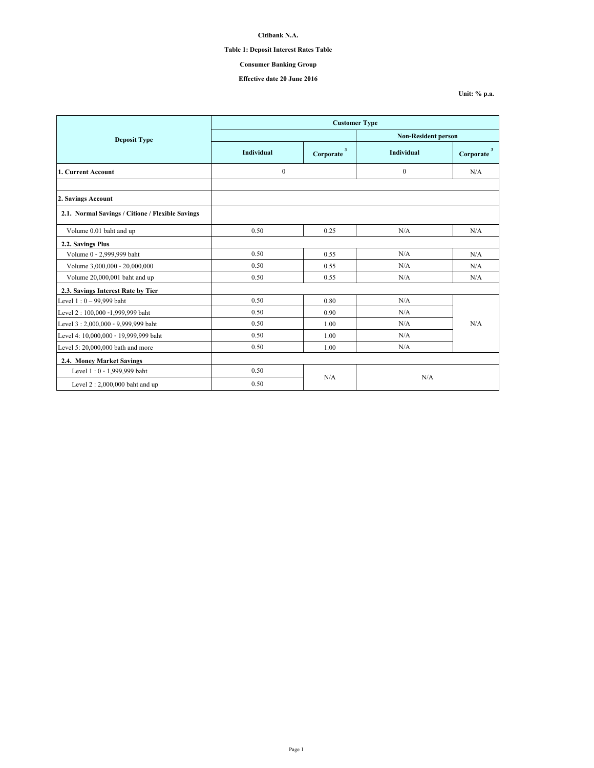# **Table 1: Deposit Interest Rates Table**

# **Consumer Banking Group**

## **Effective date 20 June 2016**

|                                                  | <b>Customer Type</b> |                                      |                            |                                      |  |  |
|--------------------------------------------------|----------------------|--------------------------------------|----------------------------|--------------------------------------|--|--|
| <b>Deposit Type</b>                              |                      |                                      | <b>Non-Resident person</b> |                                      |  |  |
|                                                  | <b>Individual</b>    | $\overline{\mathbf{3}}$<br>Corporate | <b>Individual</b>          | $\overline{\mathbf{3}}$<br>Corporate |  |  |
| 1. Current Account                               | $\boldsymbol{0}$     |                                      | $\theta$                   | N/A                                  |  |  |
|                                                  |                      |                                      |                            |                                      |  |  |
| 2. Savings Account                               |                      |                                      |                            |                                      |  |  |
| 2.1. Normal Savings / Citione / Flexible Savings |                      |                                      |                            |                                      |  |  |
| Volume 0.01 baht and up                          | 0.50                 | 0.25                                 | N/A                        | N/A                                  |  |  |
| 2.2. Savings Plus                                |                      |                                      |                            |                                      |  |  |
| Volume 0 - 2,999,999 baht                        | 0.50                 | 0.55                                 | N/A                        | N/A                                  |  |  |
| Volume 3,000,000 - 20,000,000                    | 0.50                 | 0.55                                 | N/A                        | N/A                                  |  |  |
| Volume 20,000,001 baht and up                    | 0.50                 | 0.55                                 | N/A                        | N/A                                  |  |  |
| 2.3. Savings Interest Rate by Tier               |                      |                                      |                            |                                      |  |  |
| Level $1:0 - 99,999$ baht                        | 0.50                 | 0.80                                 | N/A                        |                                      |  |  |
| Level 2: 100,000 -1,999,999 baht                 | 0.50                 | 0.90                                 | N/A                        |                                      |  |  |
| Level 3:2,000,000 - 9,999,999 baht               | 0.50                 | 1.00                                 | N/A                        | N/A                                  |  |  |
| Level 4: 10,000,000 - 19,999,999 baht            | 0.50                 | 1.00                                 | N/A                        |                                      |  |  |
| Level 5: 20,000,000 bath and more                | 0.50                 | 1.00                                 | N/A                        |                                      |  |  |
| 2.4. Money Market Savings                        |                      |                                      |                            |                                      |  |  |
| Level 1:0 - 1,999,999 baht                       | 0.50                 |                                      |                            |                                      |  |  |
| Level $2:2,000,000$ baht and up                  | 0.50                 | N/A                                  | N/A                        |                                      |  |  |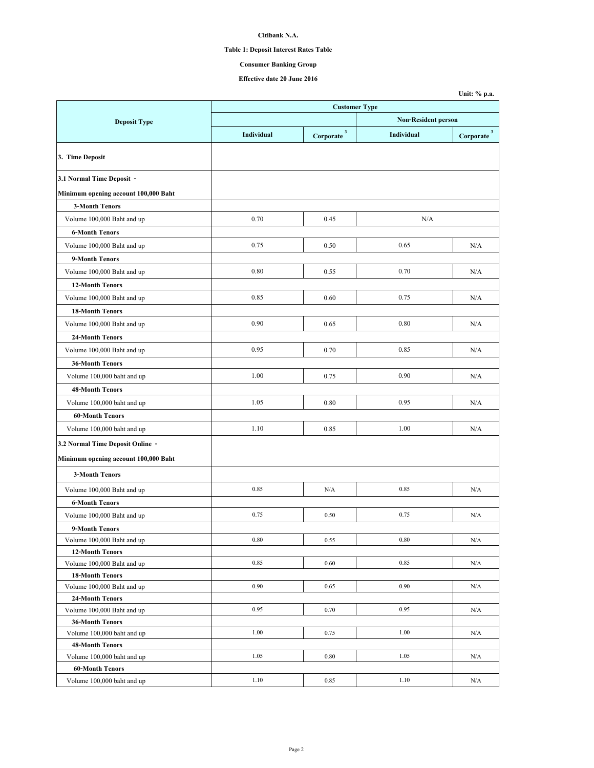# **Table 1: Deposit Interest Rates Table**

# **Consumer Banking Group**

**Unit: % p.a.**

**Effective date 20 June 2016**

|                                      | <b>Customer Type</b> |                          |                            |                          |  |
|--------------------------------------|----------------------|--------------------------|----------------------------|--------------------------|--|
| <b>Deposit Type</b>                  |                      |                          | <b>Non-Resident person</b> |                          |  |
|                                      | Individual           | $Corporate$ <sup>3</sup> | Individual                 | $Corporate$ <sup>3</sup> |  |
| 3. Time Deposit                      |                      |                          |                            |                          |  |
| 3.1 Normal Time Deposit -            |                      |                          |                            |                          |  |
| Minimum opening account 100,000 Baht |                      |                          |                            |                          |  |
| <b>3-Month Tenors</b>                |                      |                          |                            |                          |  |
| Volume 100,000 Baht and up           | 0.70                 | 0.45                     | N/A                        |                          |  |
| <b>6-Month Tenors</b>                |                      |                          |                            |                          |  |
| Volume 100,000 Baht and up           | 0.75                 | 0.50                     | 0.65                       | N/A                      |  |
| 9-Month Tenors                       |                      |                          |                            |                          |  |
| Volume 100,000 Baht and up           | 0.80                 | 0.55                     | 0.70                       | N/A                      |  |
| <b>12-Month Tenors</b>               |                      |                          |                            |                          |  |
| Volume 100,000 Baht and up           | 0.85                 | 0.60                     | 0.75                       | N/A                      |  |
| <b>18-Month Tenors</b>               |                      |                          |                            |                          |  |
| Volume 100,000 Baht and up           | 0.90                 | 0.65                     | 0.80                       | N/A                      |  |
| <b>24-Month Tenors</b>               |                      |                          |                            |                          |  |
| Volume 100,000 Baht and up           | 0.95                 | 0.70                     | 0.85                       | N/A                      |  |
| <b>36-Month Tenors</b>               |                      |                          |                            |                          |  |
|                                      | 1.00                 | 0.75                     | 0.90                       | N/A                      |  |
| Volume 100,000 baht and up           |                      |                          |                            |                          |  |
| <b>48-Month Tenors</b>               |                      |                          |                            |                          |  |
| Volume 100,000 baht and up           | 1.05                 | 0.80                     | 0.95                       | N/A                      |  |
| <b>60-Month Tenors</b>               |                      |                          |                            |                          |  |
| Volume 100,000 baht and up           | 1.10                 | 0.85                     | 1.00                       | N/A                      |  |
| 3.2 Normal Time Deposit Online -     |                      |                          |                            |                          |  |
| Minimum opening account 100,000 Baht |                      |                          |                            |                          |  |
| <b>3-Month Tenors</b>                |                      |                          |                            |                          |  |
| Volume 100,000 Baht and up           | 0.85                 | N/A                      | 0.85                       | N/A                      |  |
| <b>6-Month Tenors</b>                |                      |                          |                            |                          |  |
| Volume 100,000 Baht and up           | 0.75                 | 0.50                     | 0.75                       | N/A                      |  |
| 9-Month Tenors                       |                      |                          |                            |                          |  |
| Volume 100,000 Baht and up           | 0.80                 | 0.55                     | 0.80                       | N/A                      |  |
| <b>12-Month Tenors</b>               |                      |                          |                            |                          |  |
| Volume 100,000 Baht and up           | 0.85                 | 0.60                     | 0.85                       | N/A                      |  |
| <b>18-Month Tenors</b>               |                      |                          |                            |                          |  |
| Volume 100,000 Baht and up           | 0.90                 | 0.65                     | 0.90                       | N/A                      |  |
| <b>24-Month Tenors</b>               |                      |                          |                            |                          |  |
| Volume 100,000 Baht and up           | 0.95                 | 0.70                     | 0.95                       | N/A                      |  |
| <b>36-Month Tenors</b>               |                      |                          |                            |                          |  |
| Volume 100,000 baht and up           | 1.00                 | 0.75                     | 1.00                       | N/A                      |  |
| <b>48-Month Tenors</b>               |                      |                          |                            |                          |  |
| Volume 100,000 baht and up           | 1.05                 | 0.80                     | 1.05                       | N/A                      |  |
| <b>60-Month Tenors</b>               |                      |                          |                            |                          |  |
| Volume 100,000 baht and up           | 1.10                 | 0.85                     | 1.10                       | N/A                      |  |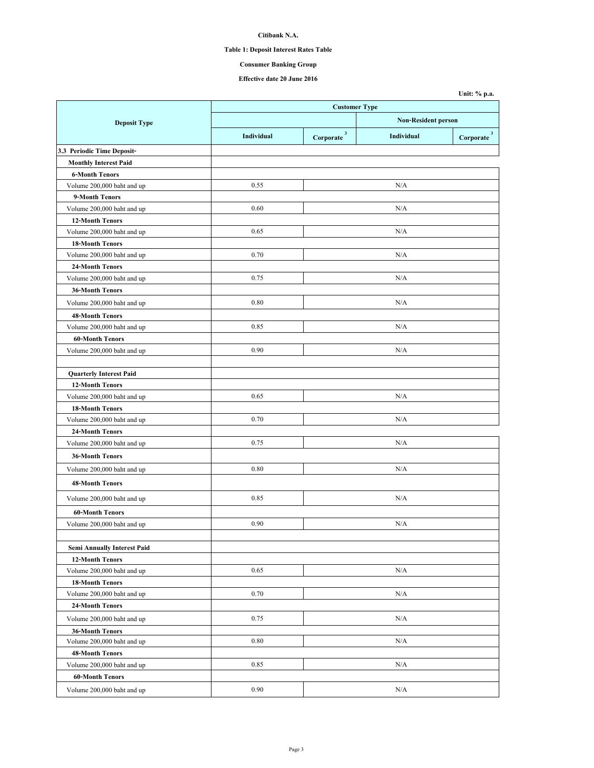# **Table 1: Deposit Interest Rates Table**

# **Consumer Banking Group**

### **Effective date 20 June 2016**

|                                    |                      |                          |                                                       | Unit: % p.a. |
|------------------------------------|----------------------|--------------------------|-------------------------------------------------------|--------------|
|                                    | <b>Customer Type</b> |                          |                                                       |              |
| <b>Deposit Type</b>                |                      |                          | <b>Non-Resident person</b><br>Individual<br>Corporate |              |
|                                    | Individual           | $Corporate$ <sup>3</sup> |                                                       |              |
| 3.3 Periodic Time Deposit-         |                      |                          |                                                       |              |
| <b>Monthly Interest Paid</b>       |                      |                          |                                                       |              |
| <b>6-Month Tenors</b>              |                      |                          |                                                       |              |
| Volume 200,000 baht and up         | 0.55                 |                          | N/A                                                   |              |
| 9-Month Tenors                     |                      |                          |                                                       |              |
| Volume 200,000 baht and up         | 0.60                 |                          | N/A                                                   |              |
| <b>12-Month Tenors</b>             |                      |                          |                                                       |              |
| Volume 200,000 baht and up         | 0.65                 |                          | N/A                                                   |              |
| <b>18-Month Tenors</b>             |                      |                          |                                                       |              |
| Volume 200,000 baht and up         | 0.70                 |                          | N/A                                                   |              |
| 24-Month Tenors                    |                      |                          |                                                       |              |
| Volume 200,000 baht and up         | 0.75                 |                          | N/A                                                   |              |
| <b>36-Month Tenors</b>             |                      |                          |                                                       |              |
| Volume 200,000 baht and up         | 0.80                 |                          | N/A                                                   |              |
| 48-Month Tenors                    |                      |                          |                                                       |              |
| Volume 200,000 baht and up         | 0.85                 |                          | N/A                                                   |              |
| <b>60-Month Tenors</b>             |                      |                          |                                                       |              |
| Volume 200,000 baht and up         | 0.90                 |                          | N/A                                                   |              |
|                                    |                      |                          |                                                       |              |
| <b>Quarterly Interest Paid</b>     |                      |                          |                                                       |              |
| <b>12-Month Tenors</b>             |                      |                          |                                                       |              |
| Volume 200,000 baht and up         | 0.65                 |                          | N/A                                                   |              |
| <b>18-Month Tenors</b>             |                      |                          |                                                       |              |
| Volume 200,000 baht and up         | 0.70                 |                          | N/A                                                   |              |
| 24-Month Tenors                    |                      |                          |                                                       |              |
| Volume 200,000 baht and up         | 0.75                 |                          | N/A                                                   |              |
| <b>36-Month Tenors</b>             |                      |                          |                                                       |              |
| Volume 200,000 baht and up         | 0.80                 |                          | N/A                                                   |              |
| <b>48-Month Tenors</b>             |                      |                          |                                                       |              |
|                                    |                      |                          |                                                       |              |
| Volume 200,000 baht and up         | 0.85                 |                          | N/A                                                   |              |
| <b>60-Month Tenors</b>             |                      |                          |                                                       |              |
| Volume 200,000 baht and up         | 0.90                 |                          | N/A                                                   |              |
|                                    |                      |                          |                                                       |              |
| <b>Semi Annually Interest Paid</b> |                      |                          |                                                       |              |
| <b>12-Month Tenors</b>             |                      |                          |                                                       |              |
| Volume 200,000 baht and up         | 0.65                 |                          | N/A                                                   |              |
| <b>18-Month Tenors</b>             |                      |                          |                                                       |              |
| Volume 200,000 baht and up         | 0.70                 |                          | N/A                                                   |              |
| 24-Month Tenors                    |                      |                          |                                                       |              |
| Volume 200,000 baht and up         | 0.75                 |                          | N/A                                                   |              |
| <b>36-Month Tenors</b>             |                      |                          |                                                       |              |
| Volume 200,000 baht and up         | 0.80                 |                          | N/A                                                   |              |
| <b>48-Month Tenors</b>             |                      |                          |                                                       |              |
| Volume 200,000 baht and up         | 0.85                 |                          | N/A                                                   |              |
| <b>60-Month Tenors</b>             |                      |                          |                                                       |              |
| Volume 200,000 baht and up         | 0.90                 |                          | N/A                                                   |              |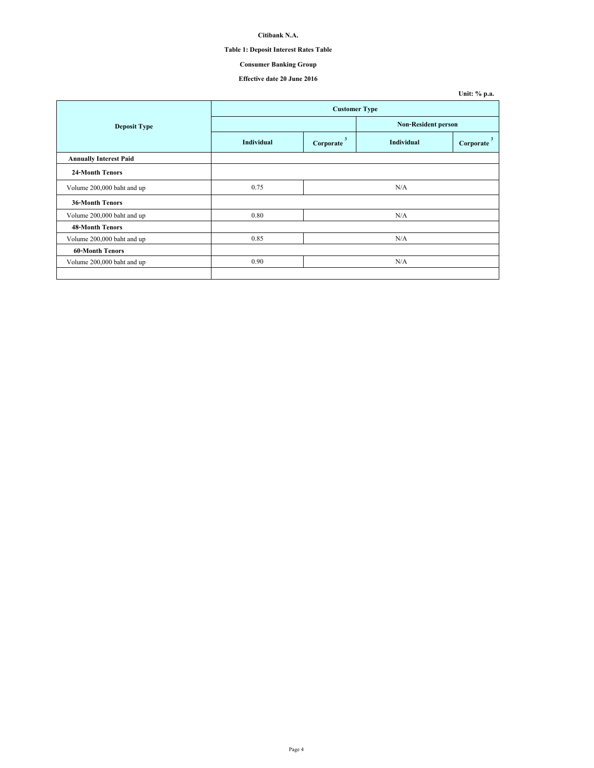# **Table 1: Deposit Interest Rates Table**

# **Consumer Banking Group**

## **Effective date 20 June 2016**

|                               |                      |                |                            | Unit: % p.a.   |  |
|-------------------------------|----------------------|----------------|----------------------------|----------------|--|
|                               | <b>Customer Type</b> |                |                            |                |  |
| <b>Deposit Type</b>           |                      |                | <b>Non-Resident person</b> |                |  |
|                               | <b>Individual</b>    | 3<br>Corporate | <b>Individual</b>          | 3<br>Corporate |  |
| <b>Annually Interest Paid</b> |                      |                |                            |                |  |
| <b>24-Month Tenors</b>        |                      |                |                            |                |  |
| Volume 200,000 baht and up    | 0.75                 |                | N/A                        |                |  |
| <b>36-Month Tenors</b>        |                      |                |                            |                |  |
| Volume 200,000 baht and up    | 0.80                 |                | N/A                        |                |  |
| <b>48-Month Tenors</b>        |                      |                |                            |                |  |
| Volume 200,000 baht and up    | 0.85                 |                | N/A                        |                |  |
| <b>60-Month Tenors</b>        |                      |                |                            |                |  |
| Volume 200,000 baht and up    | 0.90                 |                | N/A                        |                |  |
|                               |                      |                |                            |                |  |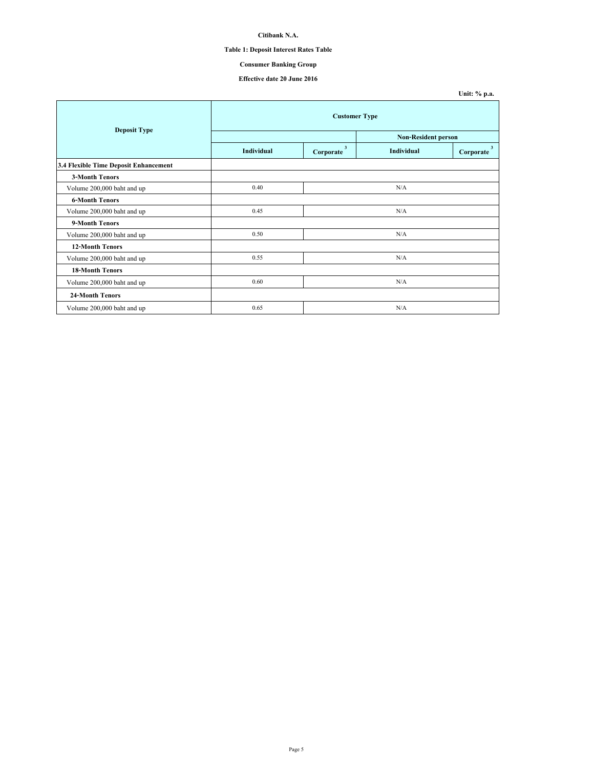# **Table 1: Deposit Interest Rates Table**

# **Consumer Banking Group**

### **Effective date 20 June 2016**

| <b>Deposit Type</b>                   | <b>Customer Type</b> |                                      |                            |                                      |  |
|---------------------------------------|----------------------|--------------------------------------|----------------------------|--------------------------------------|--|
|                                       |                      |                                      | <b>Non-Resident person</b> |                                      |  |
|                                       | Individual           | $\overline{\mathbf{3}}$<br>Corporate | Individual                 | $\overline{\mathbf{3}}$<br>Corporate |  |
| 3.4 Flexible Time Deposit Enhancement |                      |                                      |                            |                                      |  |
| <b>3-Month Tenors</b>                 |                      |                                      |                            |                                      |  |
| Volume 200,000 baht and up            | 0.40                 |                                      | N/A                        |                                      |  |
| <b>6-Month Tenors</b>                 |                      |                                      |                            |                                      |  |
| Volume 200,000 baht and up            | 0.45                 | N/A                                  |                            |                                      |  |
| 9-Month Tenors                        |                      |                                      |                            |                                      |  |
| Volume 200,000 baht and up            | 0.50                 | N/A                                  |                            |                                      |  |
| <b>12-Month Tenors</b>                |                      |                                      |                            |                                      |  |
| Volume 200,000 baht and up            | 0.55                 |                                      | N/A                        |                                      |  |
| <b>18-Month Tenors</b>                |                      |                                      |                            |                                      |  |
| Volume 200,000 baht and up            | 0.60                 |                                      | N/A                        |                                      |  |
| 24-Month Tenors                       |                      |                                      |                            |                                      |  |
| Volume 200,000 baht and up            | 0.65                 |                                      | N/A                        |                                      |  |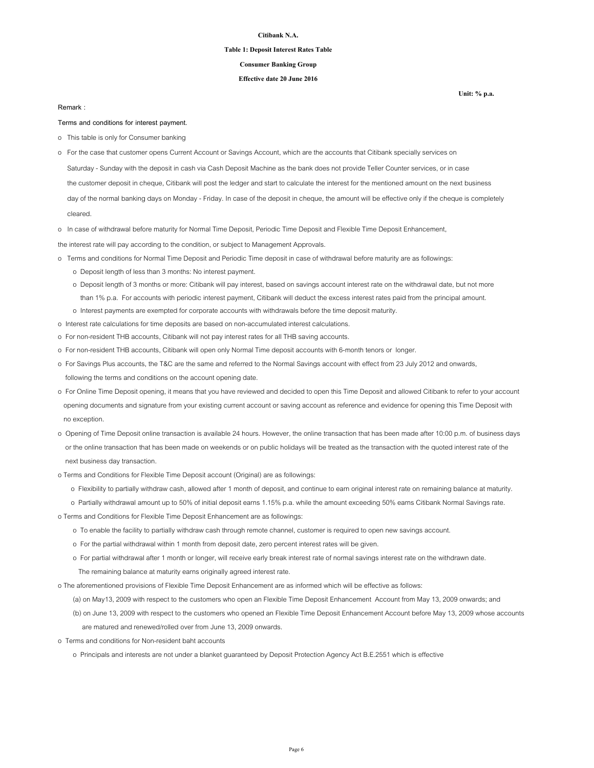#### **Table 1: Deposit Interest Rates Table**

### **Consumer Banking Group**

### **Effective date 20 June 2016**

#### **Remark :**

**Terms and conditions for interest payment.**

- o This table is only for Consumer banking
- o For the case that customer opens Current Account or Savings Account, which are the accounts that Citibank specially services on
- Saturday Sunday with the deposit in cash via Cash Deposit Machine as the bank does not provide Teller Counter services, or in case
- the customer deposit in cheque, Citibank will post the ledger and start to calculate the interest for the mentioned amount on the next business

 day of the normal banking days on Monday - Friday. In case of the deposit in cheque, the amount will be effective only if the cheque is completely cleared.

o In case of withdrawal before maturity for Normal Time Deposit, Periodic Time Deposit and Flexible Time Deposit Enhancement,

the interest rate will pay according to the condition, or subject to Management Approvals.

- o Terms and conditions for Normal Time Deposit and Periodic Time deposit in case of withdrawal before maturity are as followings:
	- o Deposit length of less than 3 months: No interest payment.
	- o Deposit length of 3 months or more: Citibank will pay interest, based on savings account interest rate on the withdrawal date, but not more than 1% p.a. For accounts with periodic interest payment, Citibank will deduct the excess interest rates paid from the principal amount.
	- o Interest payments are exempted for corporate accounts with withdrawals before the time deposit maturity.
- o Interest rate calculations for time deposits are based on non-accumulated interest calculations.
- o For non-resident THB accounts, Citibank will not pay interest rates for all THB saving accounts.
- o For non-resident THB accounts, Citibank will open only Normal Time deposit accounts with 6-month tenors or longer.
- o For Savings Plus accounts, the T&C are the same and referred to the Normal Savings account with effect from 23 July 2012 and onwards, following the terms and conditions on the account opening date.
- o For Online Time Deposit opening, it means that you have reviewed and decided to open this Time Deposit and allowed Citibank to refer to your account opening documents and signature from your existing current account or saving account as reference and evidence for opening this Time Deposit with no exception.
- o Opening of Time Deposit online transaction is available 24 hours. However, the online transaction that has been made after 10:00 p.m. of business days or the online transaction that has been made on weekends or on public holidays will be treated as the transaction with the quoted interest rate of the next business day transaction.
- o Terms and Conditions for Flexible Time Deposit account (Original) are as followings:
	- o Flexibility to partially withdraw cash, allowed after 1 month of deposit, and continue to earn original interest rate on remaining balance at maturity.
	- o Partially withdrawal amount up to 50% of initial deposit earns 1.15% p.a. while the amount exceeding 50% earns Citibank Normal Savings rate.
- o Terms and Conditions for Flexible Time Deposit Enhancement are as followings:
	- o To enable the facility to partially withdraw cash through remote channel, customer is required to open new savings account.
	- o For the partial withdrawal within 1 month from deposit date, zero percent interest rates will be given.
	- o For partial withdrawal after 1 month or longer, will receive early break interest rate of normal savings interest rate on the withdrawn date. The remaining balance at maturity earns originally agreed interest rate.

o The aforementioned provisions of Flexible Time Deposit Enhancement are as informed which will be effective as follows:

- (a) on May13, 2009 with respect to the customers who open an Flexible Time Deposit Enhancement Account from May 13, 2009 onwards; and
- (b) on June 13, 2009 with respect to the customers who opened an Flexible Time Deposit Enhancement Account before May 13, 2009 whose accounts are matured and renewed/rolled over from June 13, 2009 onwards.
- o Terms and conditions for Non-resident baht accounts
	- o Principals and interests are not under a blanket guaranteed by Deposit Protection Agency Act B.E.2551 which is effective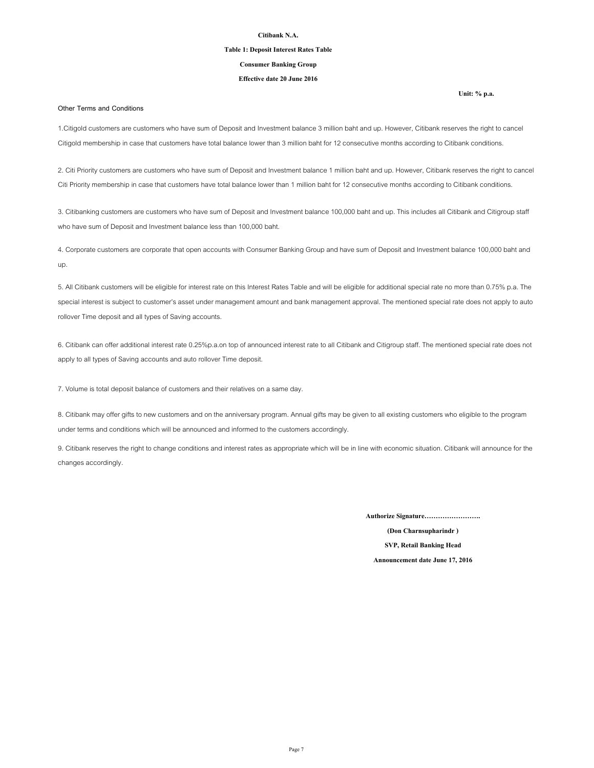#### **Table 1: Deposit Interest Rates Table**

### **Consumer Banking Group**

## **Effective date 20 June 2016**

#### **Other Terms and Conditions**

1.Citigold customers are customers who have sum of Deposit and Investment balance 3 million baht and up. However, Citibank reserves the right to cancel Citigold membership in case that customers have total balance lower than 3 million baht for 12 consecutive months according to Citibank conditions.

2. Citi Priority customers are customers who have sum of Deposit and Investment balance 1 million baht and up. However, Citibank reserves the right to cancel Citi Priority membership in case that customers have total balance lower than 1 million baht for 12 consecutive months according to Citibank conditions.

3. Citibanking customers are customers who have sum of Deposit and Investment balance 100,000 baht and up. This includes all Citibank and Citigroup staff who have sum of Deposit and Investment balance less than 100,000 baht.

4. Corporate customers are corporate that open accounts with Consumer Banking Group and have sum of Deposit and Investment balance 100,000 baht and up.

5. All Citibank customers will be eligible for interest rate on this Interest Rates Table and will be eligible for additional special rate no more than 0.75% p.a. The special interest is subject to customer's asset under management amount and bank management approval. The mentioned special rate does not apply to auto rollover Time deposit and all types of Saving accounts.

6. Citibank can offer additional interest rate 0.25%p.a.on top of announced interest rate to all Citibank and Citigroup staff. The mentioned special rate does not apply to all types of Saving accounts and auto rollover Time deposit.

7. Volume is total deposit balance of customers and their relatives on a same day.

8. Citibank may offer gifts to new customers and on the anniversary program. Annual gifts may be given to all existing customers who eligible to the program under terms and conditions which will be announced and informed to the customers accordingly.

9. Citibank reserves the right to change conditions and interest rates as appropriate which will be in line with economic situation. Citibank will announce for the changes accordingly.

**Authorize Signature…………………….**

**(Don Charnsupharindr ) SVP, Retail Banking Head Announcement date June 17, 2016**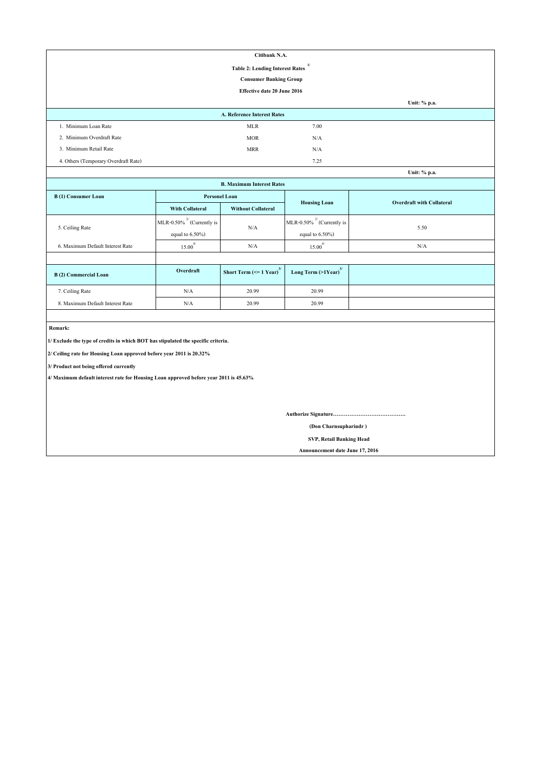| Citibank N.A.                                          |                               |      |              |  |  |
|--------------------------------------------------------|-------------------------------|------|--------------|--|--|
| $\mathbf{1}$<br><b>Table 2: Lending Interest Rates</b> |                               |      |              |  |  |
|                                                        | <b>Consumer Banking Group</b> |      |              |  |  |
|                                                        | Effective date 20 June 2016   |      |              |  |  |
|                                                        |                               |      | Unit: % p.a. |  |  |
|                                                        | A. Reference Interest Rates   |      |              |  |  |
| 1. Minimum Loan Rate                                   | <b>MLR</b>                    | 7.00 |              |  |  |
| 2. Minimum Overdraft Rate                              | <b>MOR</b>                    | N/A  |              |  |  |
| 3. Minimum Retail Rate                                 | <b>MRR</b>                    | N/A  |              |  |  |
| 4. Others (Temporary Overdraft Rate)                   |                               | 7.25 |              |  |  |
|                                                        |                               |      | Unit: % p.a. |  |  |

| Unit: % p.a.                     |                                 |                                               |                                     |      |  |  |
|----------------------------------|---------------------------------|-----------------------------------------------|-------------------------------------|------|--|--|
| <b>B. Maximum Interest Rates</b> |                                 |                                               |                                     |      |  |  |
| B(1) Consumer Loan               |                                 | <b>Personel Loan</b>                          | <b>Overdraft with Collateral</b>    |      |  |  |
|                                  | <b>With Collateral</b>          | <b>Without Collateral</b>                     | <b>Housing Loan</b>                 |      |  |  |
|                                  | MLR-0.50% $^{27}$ (Currently is | N/A                                           | MLR-0.50% $^{27}$ (Currently is     | 5.50 |  |  |
| 5. Ceiling Rate                  | equal to $6.50\%$ )             |                                               | equal to $6.50\%$ )                 |      |  |  |
| 6. Maximum Default Interest Rate | $15.00^{4/}$                    | N/A                                           | $\overline{4}$<br>15.00             | N/A  |  |  |
|                                  |                                 |                                               |                                     |      |  |  |
| B(2) Commercial Loan             | Overdraft                       | Short Term $\left(\leq 1$ Year) <sup>3/</sup> | Long Term $(>1$ Year) <sup>3/</sup> |      |  |  |
| 7. Ceiling Rate                  | N/A                             | 20.99                                         | 20.99                               |      |  |  |
| 8. Maximum Default Interest Rate | N/A                             | 20.99                                         | 20.99                               |      |  |  |

 **Remark:**

**1/ Exclude the type of credits in which BOT has stipulated the specific criteria.**

**2/ Ceiling rate for Housing Loan approved before year 2011 is 20.32%**

**3/ Product not being offered currently**

**4/ Maximum default interest rate for Housing Loan approved before year 2011 is 45.63%**

**Authorize Signature………………………………….**

 **(Don Charnsupharindr )**

 **SVP, Retail Banking Head**

 **Announcement date June 17, 2016**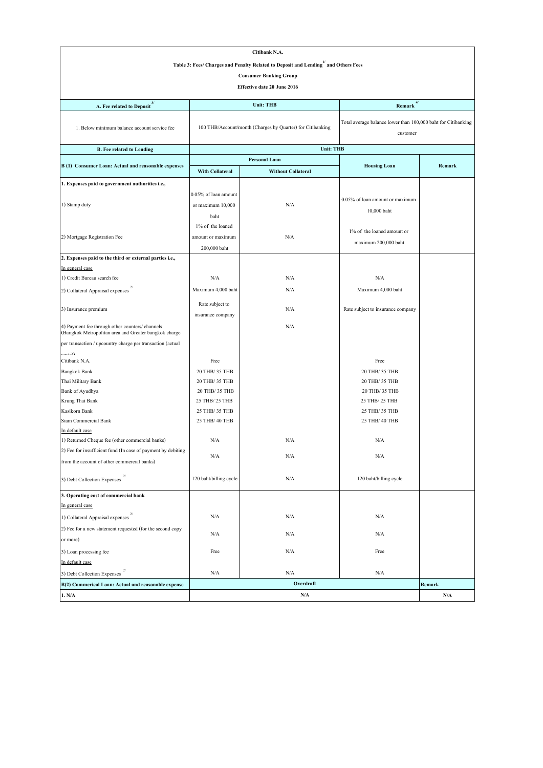| Citibank N.A.                                                                                            |                                                            |                               |                                                                           |               |  |
|----------------------------------------------------------------------------------------------------------|------------------------------------------------------------|-------------------------------|---------------------------------------------------------------------------|---------------|--|
| Table 3: Fees/ Charges and Penalty Related to Deposit and Lending and Others Fees                        |                                                            |                               |                                                                           |               |  |
|                                                                                                          |                                                            | <b>Consumer Banking Group</b> |                                                                           |               |  |
|                                                                                                          |                                                            | Effective date 20 June 2016   |                                                                           |               |  |
|                                                                                                          |                                                            |                               |                                                                           |               |  |
| A. Fee related to Deposit $^{\mbox{\scriptsize 3}}$                                                      | 4/<br><b>Unit: THB</b><br>Remark                           |                               |                                                                           |               |  |
| 1. Below minimum balance account service fee                                                             | 100 THB/Account/month (Charges by Quarter) for Citibanking |                               | Total average balance lower than 100,000 baht for Citibanking<br>customer |               |  |
| <b>B.</b> Fee related to Lending                                                                         |                                                            | <b>Unit: THB</b>              |                                                                           |               |  |
|                                                                                                          |                                                            | Personal Loan                 |                                                                           |               |  |
| B (1) Consumer Loan: Actual and reasonable expenses                                                      | With Collateral                                            | <b>Without Collateral</b>     | <b>Housing Loan</b>                                                       | <b>Remark</b> |  |
| 1. Expenses paid to government authorities i.e.,                                                         |                                                            |                               |                                                                           |               |  |
|                                                                                                          | 0.05% of loan amount                                       |                               |                                                                           |               |  |
| 1) Stamp duty                                                                                            | or maximum 10,000                                          | N/A                           | 0.05% of loan amount or maximum                                           |               |  |
|                                                                                                          |                                                            |                               | 10,000 baht                                                               |               |  |
|                                                                                                          | baht                                                       |                               |                                                                           |               |  |
|                                                                                                          | 1% of the loaned                                           |                               | 1% of the loaned amount or                                                |               |  |
| 2) Mortgage Registration Fee                                                                             | amount or maximum                                          | N/A                           | maximum 200,000 baht                                                      |               |  |
|                                                                                                          | 200,000 baht                                               |                               |                                                                           |               |  |
| 2. Expenses paid to the third or external parties i.e.,                                                  |                                                            |                               |                                                                           |               |  |
| In general case                                                                                          |                                                            |                               |                                                                           |               |  |
| 1) Credit Bureau search fee                                                                              | N/A                                                        | N/A                           | N/A                                                                       |               |  |
| 2) Collateral Appraisal expenses                                                                         | Maximum 4,000 baht                                         | N/A                           | Maximum 4,000 baht                                                        |               |  |
| 3) Insurance premium                                                                                     | Rate subject to<br>insurance company                       | N/A                           | Rate subject to insurance company                                         |               |  |
|                                                                                                          |                                                            |                               |                                                                           |               |  |
| 4) Payment fee through other counters/ channels<br>(Bangkok Metropolitan area and Greater bangkok charge |                                                            | N/A                           |                                                                           |               |  |
| per transaction / upcountry charge per transaction (actual                                               |                                                            |                               |                                                                           |               |  |
| الصعمد<br>Citibank N.A.                                                                                  | Free                                                       |                               | Free                                                                      |               |  |
| <b>Bangkok Bank</b>                                                                                      | 20 THB/ 35 THB                                             |                               | 20 THB/ 35 THB                                                            |               |  |
| Thai Military Bank                                                                                       | 20 THB/ 35 THB                                             |                               | 20 THB/ 35 THB                                                            |               |  |
| Bank of Ayudhya                                                                                          | 20 THB/ 35 THB                                             |                               | 20 THB/ 35 THB                                                            |               |  |
| Krung Thai Bank                                                                                          | 25 THB/ 25 THB                                             |                               | 25 THB/ 25 THB                                                            |               |  |
| Kasikorn Bank                                                                                            | 25 THB/ 35 THB                                             |                               | 25 THB/ 35 THB                                                            |               |  |
| Siam Commercial Bank                                                                                     | 25 THB/ 40 THB                                             |                               | 25 THB/ 40 THB                                                            |               |  |
| In default case                                                                                          |                                                            |                               |                                                                           |               |  |
| 1) Returned Cheque fee (other commercial banks)                                                          | N/A                                                        | N/A                           | N/A                                                                       |               |  |
| 2) Fee for insufficient fund (In case of payment by debiting                                             |                                                            |                               |                                                                           |               |  |
| from the account of other commercial banks)                                                              | N/A                                                        | N/A                           | N/A                                                                       |               |  |
| 3) Debt Collection Expenses $^{\mathrm{2}}$                                                              | 120 baht/billing cycle                                     | N/A                           | 120 baht/billing cycle                                                    |               |  |
| 3. Operating cost of commercial bank                                                                     |                                                            |                               |                                                                           |               |  |
| In general case                                                                                          |                                                            |                               |                                                                           |               |  |
| 1) Collateral Appraisal expenses                                                                         | N/A                                                        | N/A                           | N/A                                                                       |               |  |
| 2) Fee for a new statement requested (for the second copy                                                | N/A                                                        | N/A                           | N/A                                                                       |               |  |
| or more)                                                                                                 |                                                            |                               |                                                                           |               |  |
| 3) Loan processing fee                                                                                   | Free                                                       | N/A                           | Free                                                                      |               |  |
| In default case                                                                                          |                                                            |                               |                                                                           |               |  |
| 3) Debt Collection Expenses                                                                              | N/A                                                        | N/A                           | N/A                                                                       |               |  |
| B(2) Commerical Loan: Actual and reasonable expense                                                      |                                                            | Overdraft                     |                                                                           | Remark        |  |
| 1. N/A                                                                                                   | N/A<br>$\mathbf{N}/\mathbf{A}$                             |                               |                                                                           |               |  |